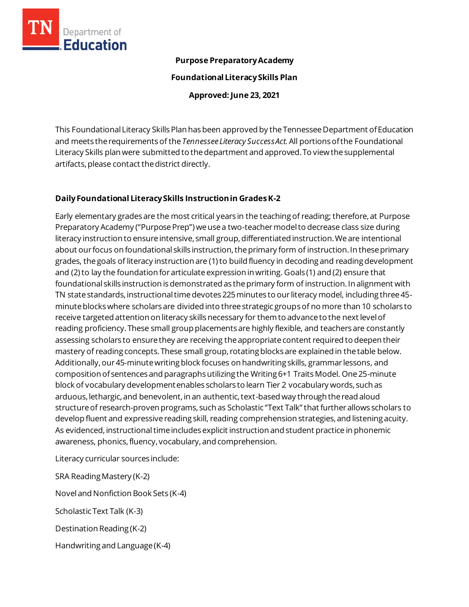

#### **Purpose Preparatory Academy**

**Foundational Literacy Skills Plan**

**Approved: June 23, 2021**

This Foundational Literacy Skills Plan has been approved by the Tennessee Department of Education and meets the requirementsof the *Tennessee Literacy Success Act.*All portionsofthe Foundational Literacy Skills plan were submitted to the department and approved. To view the supplemental artifacts, please contact the district directly.

# **Daily Foundational Literacy Skills Instructionin GradesK-2**

Early elementary grades are the most critical years in the teaching of reading; therefore, at Purpose Preparatory Academy ("Purpose Prep") we use a two-teacher model to decrease class size during literacy instruction to ensure intensive, small group, differentiated instruction. We are intentional about our focus on foundational skills instruction, the primary form of instruction. In these primary grades, the goals of literacy instruction are (1) to build fluency in decoding and reading development and (2) to lay the foundation for articulate expression in writing. Goals (1) and (2) ensure that foundational skills instruction is demonstrated as the primary form of instruction. In alignment with TN state standards, instructional time devotes 225 minutes to our literacy model, including three 45 minute blocks where scholars are divided into three strategic groups of no more than 10 scholars to receive targeted attention on literacy skills necessary for them to advance to the next level of reading proficiency. These small group placements are highly flexible, and teachers are constantly assessing scholars to ensure they are receiving the appropriate content required to deepen their mastery of reading concepts. These small group, rotating blocks are explained in the table below. Additionally, our 45-minute writing block focuses on handwriting skills, grammar lessons, and composition of sentences and paragraphs utilizing the Writing 6+1 Traits Model. One 25-minute block of vocabulary development enables scholars to learn Tier 2 vocabulary words, such as arduous, lethargic, and benevolent, in an authentic, text-based way through the read aloud structure of research-proven programs, such as Scholastic "Text Talk" that further allows scholars to develop fluent and expressive reading skill, reading comprehension strategies, and listening acuity. As evidenced, instructional time includes explicit instruction and student practice in phonemic awareness, phonics, fluency, vocabulary, and comprehension.

Literacy curricular sources include:

SRA Reading Mastery (K-2)

Novel and Nonfiction Book Sets (K-4)

Scholastic Text Talk (K-3)

Destination Reading (K-2)

Handwriting and Language (K-4)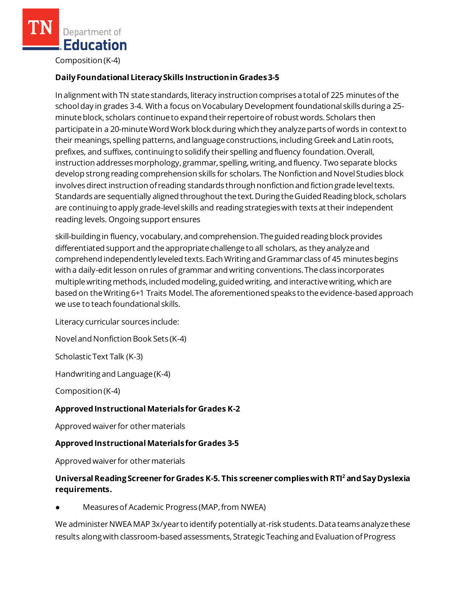Composition (K-4)

# **Daily Foundational Literacy Skills Instruction in Grades 3-5**

In alignment with TN state standards, literacy instruction comprises a total of 225 minutes of the school day in grades 3-4. With a focus on Vocabulary Development foundational skills during a 25 minute block, scholars continue to expand their repertoire of robust words. Scholars then participate in a 20-minute Word Work block during which they analyze parts of words in context to their meanings, spelling patterns, and language constructions, including Greek and Latin roots, prefixes, and suffixes, continuing to solidify their spelling and fluency foundation. Overall, instruction addresses morphology, grammar, spelling, writing, and fluency. Two separate blocks develop strong reading comprehension skills for scholars. The Nonfiction and Novel Studies block involves direct instruction of reading standards through nonfiction and fiction grade level texts. Standards are sequentially aligned throughout the text. During the Guided Reading block, scholars are continuing to apply grade-level skills and reading strategies with texts at their independent reading levels. Ongoing support ensures

skill-building in fluency, vocabulary, and comprehension. The guided reading block provides differentiated support and the appropriate challenge to all scholars, as they analyze and comprehend independently leveled texts. Each Writing and Grammar class of 45 minutes begins with a daily-edit lesson on rules of grammar and writing conventions. The class incorporates multiple writing methods, included modeling, guided writing, and interactive writing, which are based on the Writing 6+1 Traits Model. The aforementioned speaks to the evidence-based approach we use to teach foundational skills.

Literacy curricular sources include:

Novel and Nonfiction Book Sets (K-4)

Scholastic Text Talk (K-3)

Handwriting and Language (K-4)

Composition (K-4)

#### **Approved Instructional Materialsfor Grades K-2**

Approved waiver for other materials

#### **Approved Instructional Materials for Grades 3-5**

Approved waiver for other materials

### **Universal Reading Screener for Grades K-5. This screener complies with RTI<sup>2</sup>and Say Dyslexia requirements.**

Measures of Academic Progress (MAP, from NWEA)

We administer NWEAMAP 3x/year to identify potentially at-risk students. Data teams analyze these results along with classroom-based assessments, Strategic Teaching and Evaluation of Progress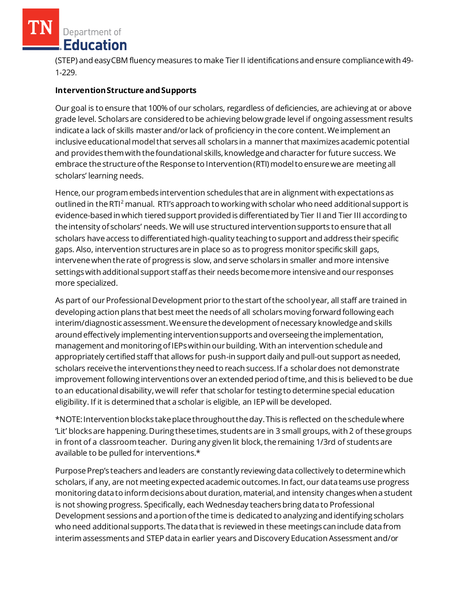(STEP) and easyCBM fluency measures to make Tier II identifications and ensure compliance with 49- 1-229.

### **Intervention Structure and Supports**

Our goal is to ensure that 100% of our scholars, regardless of deficiencies, are achieving at or above grade level. Scholars are considered to be achieving below grade level if ongoing assessment results indicatea lack of skills master and/or lack of proficiency in the core content. We implement an inclusive educational model that serves all scholars in a manner that maximizes academic potential and provides them with the foundational skills, knowledge and character for future success. We embrace the structure of the Response to Intervention (RTI) model to ensure we are meeting all scholars' learning needs.

Hence, our program embeds intervention schedules that are in alignment with expectations as outlined in the RTI<sup>2</sup> manual. RTI's approach to working with scholar who need additional support is evidence-based in which tiered support provided is differentiated by Tier II and Tier III according to the intensity of scholars' needs. We will use structured intervention supports to ensure that all scholars have access to differentiated high-quality teaching to support and address their specific gaps. Also, intervention structures are in place so as to progress monitor specific skill gaps, intervene when the rate of progress is slow, and serve scholars in smaller and more intensive settings with additional support staff as their needs become more intensive and our responses more specialized.

As part of our Professional Development prior to the start of the school year, all staff are trained in developing action plans that best meet the needs of all scholars moving forward following each interim/diagnostic assessment. We ensure the development of necessary knowledge and skills around effectively implementing intervention supports and overseeing the implementation, management and monitoring of IEPs within our building. With an intervention schedule and appropriately certified staff that allows for push-in support daily and pull-out support as needed, scholars receive the interventions they need to reach success. If a scholar does not demonstrate improvement following interventions over an extended period of time, and this is believed to be due to an educational disability, we will refer that scholar for testing to determine special education eligibility. If it is determined that a scholar is eligible, an IEP will be developed.

\*NOTE: Intervention blocks take place throughout the day. This is reflected on the schedule where 'Lit' blocks are happening. During these times, students are in 3 small groups, with 2 of these groups in front of a classroom teacher. During any given lit block, the remaining 1/3rd of students are available to be pulled for interventions.\*

Purpose Prep's teachers and leaders are constantly reviewing data collectively to determine which scholars, if any, are not meeting expected academic outcomes. In fact, our data teams use progress monitoring data to inform decisions about duration, material, and intensity changes when a student is not showing progress. Specifically, each Wednesday teachers bring data to Professional Development sessions and a portion of the time is dedicated to analyzing and identifying scholars who need additional supports. The data that is reviewed in these meetings can include data from interim assessments and STEP data in earlier years and Discovery Education Assessment and/or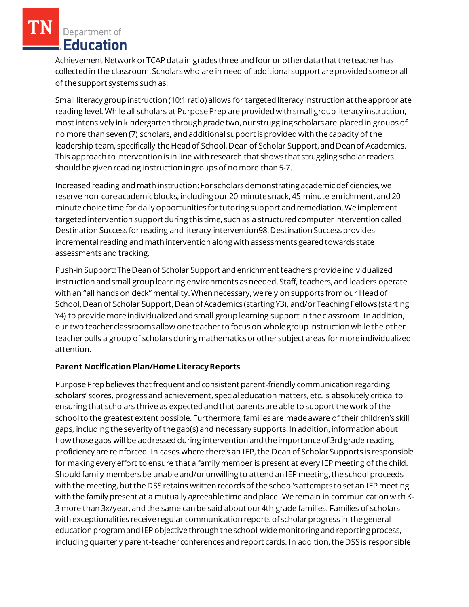Achievement Network or TCAP data in grades three and four or other data that the teacher has collected in the classroom. Scholars who are in need of additional support are provided some or all of the support systems such as:

Small literacy group instruction (10:1 ratio) allows for targeted literacy instruction at the appropriate reading level. While all scholars at Purpose Prep are provided with small group literacy instruction, most intensively in kindergarten through grade two, our struggling scholars are placed in groups of no more than seven (7) scholars, and additional support is provided with the capacity of the leadership team, specifically the Head of School, Dean of Scholar Support, and Dean of Academics. This approach to intervention is in line with research that shows that struggling scholar readers should be given reading instruction in groups of no more than 5-7.

Increased reading and math instruction: For scholars demonstrating academic deficiencies, we reserve non-core academic blocks, including our 20-minute snack, 45-minute enrichment, and 20 minute choice time for daily opportunities for tutoring support and remediation. We implement targeted intervention support during this time, such as a structured computer intervention called Destination Success for reading and literacy intervention98. Destination Success provides incremental reading and math intervention along with assessments geared towards state assessments and tracking.

Push-in Support: The Dean of Scholar Support and enrichment teachers provide individualized instruction and small group learning environments as needed. Staff, teachers, and leaders operate with an "all hands on deck" mentality. When necessary, we rely on supports from our Head of School, Dean of Scholar Support, Dean of Academics (starting Y3), and/or Teaching Fellows (starting Y4) to provide more individualized and small group learning support in the classroom. In addition, our two teacher classrooms allow one teacher to focus on whole group instruction while the other teacher pulls a group of scholars during mathematics or other subject areas for more individualized attention.

### **Parent Notification Plan/HomeLiteracyReports**

Purpose Prep believes that frequent and consistent parent-friendly communication regarding scholars' scores, progress and achievement, special education matters, etc. is absolutely critical to ensuring that scholars thrive as expected and that parents are able to support the work of the school to the greatest extent possible. Furthermore, families are made aware of their children's skill gaps, including the severity of the gap(s) and necessary supports. In addition, information about how those gaps will be addressed during intervention and the importance of 3rd grade reading proficiency are reinforced. In cases where there's an IEP, the Dean of Scholar Supports is responsible for making every effort to ensure that a family member is present at every IEP meeting of the child. Should family members be unable and/or unwilling to attend an IEP meeting, the school proceeds with the meeting, but the DSS retains written records of the school's attempts to set an IEP meeting with the family present at a mutually agreeable time and place. We remain in communication with K-3 more than 3x/year, and the same can be said about our 4th grade families. Families of scholars with exceptionalities receive regular communication reports of scholar progress in the general education program and IEP objective through the school-wide monitoring and reporting process, including quarterly parent-teacher conferences and report cards. In addition, the DSS is responsible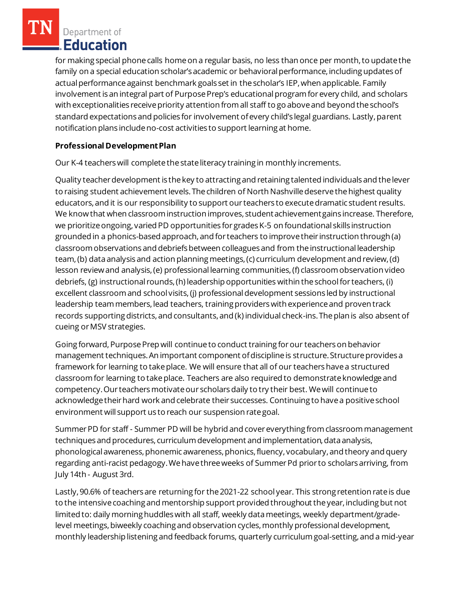for making special phone calls home on a regular basis, no less than once per month, to update the family on a special education scholar's academic or behavioral performance, including updates of actual performance against benchmark goals set in the scholar's IEP, when applicable. Family involvement is an integral part of Purpose Prep's educational program for every child, and scholars with exceptionalities receive priority attention from all staff to go above and beyond the school's standard expectations and policies for involvement of every child's legal guardians. Lastly, parent notification plans include no-cost activities to support learning at home.

# **Professional Development Plan**

Our K-4 teachers will complete the state literacy training in monthly increments.

Quality teacher development is the key to attracting and retaining talented individuals and the lever to raising student achievement levels. The children of North Nashville deserve the highest quality educators, and it is our responsibility to support our teachers to execute dramatic student results. We know that when classroom instruction improves, student achievement gains increase. Therefore, we prioritize ongoing, varied PD opportunities for grades K-5 on foundational skills instruction grounded in a phonics-based approach, and for teachers to improve their instruction through (a) classroom observations and debriefs between colleagues and from the instructional leadership team,(b) data analysis and action planning meetings, (c) curriculum development and review, (d) lesson review and analysis, (e) professional learning communities, (f) classroom observation video debriefs, (g) instructional rounds, (h) leadership opportunities within the school for teachers, (i) excellent classroom and school visits, (j) professional development sessions led by instructional leadership team members, lead teachers, training providers with experience and proven track records supporting districts, and consultants, and (k) individual check-ins. The plan is also absent of cueing or MSV strategies.

Going forward, Purpose Prep will continue to conduct training for our teachers on behavior management techniques. An important component of discipline is structure. Structure provides a framework for learning to take place. We will ensure that all of our teachers have a structured classroom for learning to take place. Teachers are also required to demonstrate knowledge and competency. Our teachers motivate our scholars daily to try their best. We will continue to acknowledge their hard work and celebrate their successes. Continuing to have a positive school environment will support us to reach our suspension rate goal.

Summer PD for staff - Summer PD will be hybrid and cover everything from classroom management techniques and procedures, curriculum development and implementation, data analysis, phonological awareness, phonemic awareness, phonics, fluency, vocabulary, and theory and query regarding anti-racist pedagogy. We have three weeks of Summer Pd prior to scholars arriving, from July 14th - August 3rd.

Lastly, 90.6% of teachers are returning for the 2021-22 school year. This strong retention rate is due to the intensive coaching and mentorship support provided throughout the year, including but not limited to: daily morning huddles with all staff, weekly data meetings, weekly department/gradelevel meetings, biweekly coaching and observation cycles, monthly professional development, monthly leadership listening and feedback forums, quarterly curriculum goal-setting, and a mid-year